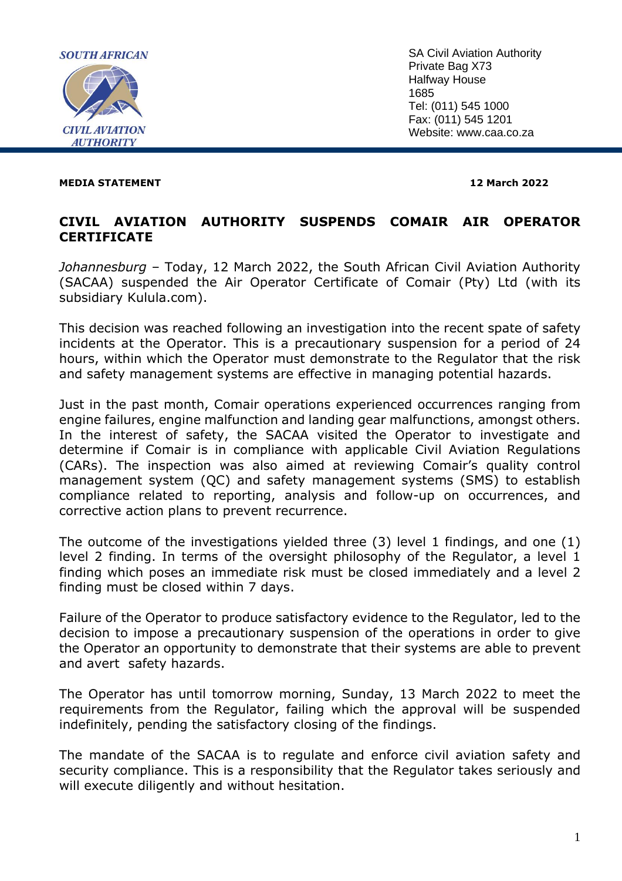

SA Civil Aviation Authority Private Bag X73 Halfway House 1685 Tel: (011) 545 1000 Fax: (011) 545 1201 Website: www.caa.co.za

#### **MEDIA STATEMENT 12 March 2022**

# **CIVIL AVIATION AUTHORITY SUSPENDS COMAIR AIR OPERATOR CERTIFICATE**

*Johannesburg* – Today, 12 March 2022, the South African Civil Aviation Authority (SACAA) suspended the Air Operator Certificate of Comair (Pty) Ltd (with its subsidiary Kulula.com).

This decision was reached following an investigation into the recent spate of safety incidents at the Operator. This is a precautionary suspension for a period of 24 hours, within which the Operator must demonstrate to the Regulator that the risk and safety management systems are effective in managing potential hazards.

Just in the past month, Comair operations experienced occurrences ranging from engine failures, engine malfunction and landing gear malfunctions, amongst others. In the interest of safety, the SACAA visited the Operator to investigate and determine if Comair is in compliance with applicable Civil Aviation Regulations (CARs). The inspection was also aimed at reviewing Comair's quality control management system (QC) and safety management systems (SMS) to establish compliance related to reporting, analysis and follow-up on occurrences, and corrective action plans to prevent recurrence.

The outcome of the investigations yielded three (3) level 1 findings, and one (1) level 2 finding. In terms of the oversight philosophy of the Regulator, a level 1 finding which poses an immediate risk must be closed immediately and a level 2 finding must be closed within 7 days.

Failure of the Operator to produce satisfactory evidence to the Regulator, led to the decision to impose a precautionary suspension of the operations in order to give the Operator an opportunity to demonstrate that their systems are able to prevent and avert safety hazards.

The Operator has until tomorrow morning, Sunday, 13 March 2022 to meet the requirements from the Regulator, failing which the approval will be suspended indefinitely, pending the satisfactory closing of the findings.

The mandate of the SACAA is to regulate and enforce civil aviation safety and security compliance. This is a responsibility that the Regulator takes seriously and will execute diligently and without hesitation.